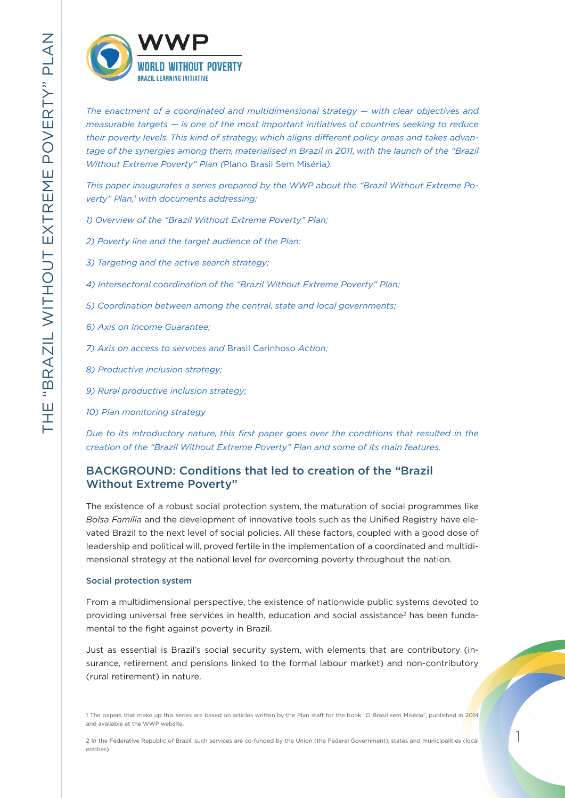

*The enactment of a coordinated and multidimensional strategy — with clear objectives and measurable targets — is one of the most important initiatives of countries seeking to reduce their poverty levels. This kind of strategy, which aligns different policy areas and takes advan*tage of the synergies among them, materialised in Brazil in 2011, with the launch of the "Brazil *Without Extreme Poverty" Plan (*Plano Brasil Sem Miséria*).* 

*This paper inaugurates a series prepared by the WWP about the "Brazil Without Extreme Poverty" Plan,1 with documents addressing:* 

- *1) Overview of the "Brazil Without Extreme Poverty" Plan;*
- *2) Poverty line and the target audience of the Plan;*
- *3) Targeting and the active search strategy;*
- *4) Intersectoral coordination of the "Brazil Without Extreme Poverty" Plan;*
- *5) Coordination between among the central, state and local governments;*
- *6) Axis on Income Guarantee;*
- *7) Axis on access to services and* Brasil Carinhoso *Action;*
- *8) Productive inclusion strategy;*
- *9) Rural productive inclusion strategy;*
- *10) Plan monitoring strategy*

*Due to its introductory nature, this first paper goes over the conditions that resulted in the creation of the "Brazil Without Extreme Poverty" Plan and some of its main features.*

# BACKGROUND: Conditions that led to creation of the "Brazil Without Extreme Poverty"

The existence of a robust social protection system, the maturation of social programmes like *Bolsa Família* and the development of innovative tools such as the Unified Registry have elevated Brazil to the next level of social policies. All these factors, coupled with a good dose of leadership and political will, proved fertile in the implementation of a coordinated and multidimensional strategy at the national level for overcoming poverty throughout the nation.

# Social protection system

From a multidimensional perspective, the existence of nationwide public systems devoted to providing universal free services in health, education and social assistance<sup>2</sup> has been fundamental to the fight against poverty in Brazil.

Just as essential is Brazil's social security system, with elements that are contributory (insurance, retirement and pensions linked to the formal labour market) and non-contributory (rural retirement) in nature.

<sup>1</sup> The papers that make up this series are based on articles written by the Plan staff for the book "O Brasil sem Miséria", published in 2014 and available at the WWP website.

<sup>2</sup> In the Federative Republic of Brazil, such services are co-funded by the Union (the Federal Government), states and municipalities (local entities).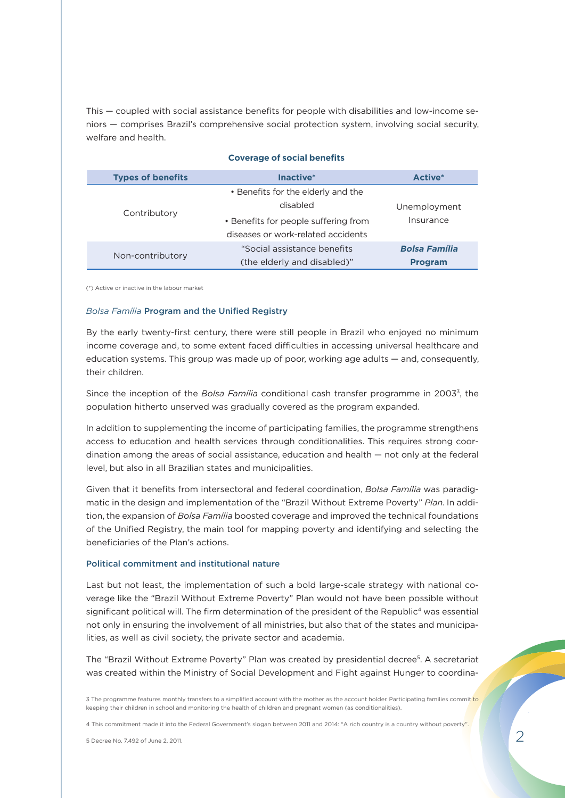This — coupled with social assistance benefits for people with disabilities and low-income seniors — comprises Brazil's comprehensive social protection system, involving social security, welfare and health.

| <b>Types of benefits</b> | Inactive*                                                                  | Active <sup>*</sup>                    |
|--------------------------|----------------------------------------------------------------------------|----------------------------------------|
| Contributory             | • Benefits for the elderly and the<br>disabled                             | Unemployment                           |
|                          | • Benefits for people suffering from<br>diseases or work-related accidents | Insurance                              |
| Non-contributory         | "Social assistance benefits<br>(the elderly and disabled)"                 | <b>Bolsa Família</b><br><b>Program</b> |

# **Coverage of social benefits**

(\*) Active or inactive in the labour market

# *Bolsa Família* Program and the Unified Registry

By the early twenty-first century, there were still people in Brazil who enjoyed no minimum income coverage and, to some extent faced difficulties in accessing universal healthcare and education systems. This group was made up of poor, working age adults — and, consequently, their children.

Since the inception of the *Bolsa Família* conditional cash transfer programme in 20033, the population hitherto unserved was gradually covered as the program expanded.

In addition to supplementing the income of participating families, the programme strengthens access to education and health services through conditionalities. This requires strong coordination among the areas of social assistance, education and health — not only at the federal level, but also in all Brazilian states and municipalities.

Given that it benefits from intersectoral and federal coordination, *Bolsa Família* was paradigmatic in the design and implementation of the "Brazil Without Extreme Poverty" *Plan*. In addition, the expansion of *Bolsa Família* boosted coverage and improved the technical foundations of the Unified Registry, the main tool for mapping poverty and identifying and selecting the beneficiaries of the Plan's actions.

# Political commitment and institutional nature

Last but not least, the implementation of such a bold large-scale strategy with national coverage like the "Brazil Without Extreme Poverty" Plan would not have been possible without significant political will. The firm determination of the president of the Republic<sup>4</sup> was essential not only in ensuring the involvement of all ministries, but also that of the states and municipalities, as well as civil society, the private sector and academia.

The "Brazil Without Extreme Poverty" Plan was created by presidential decree5. A secretariat was created within the Ministry of Social Development and Fight against Hunger to coordina-

3 The programme features monthly transfers to a simplified account with the mother as the account holder. Participating families commit to keeping their children in school and monitoring the health of children and pregnant women (as conditionalities).

4 This commitment made it into the Federal Government's slogan between 2011 and 2014: "A rich country is a country without poverty".

5 Decree No. 7,492 of June 2, 2011.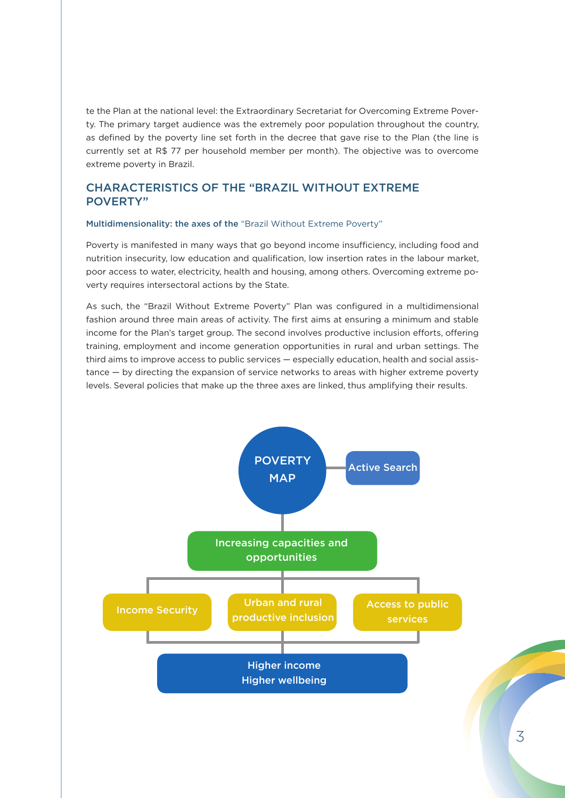te the Plan at the national level: the Extraordinary Secretariat for Overcoming Extreme Poverty. The primary target audience was the extremely poor population throughout the country, as defined by the poverty line set forth in the decree that gave rise to the Plan (the line is currently set at R\$ 77 per household member per month). The objective was to overcome extreme poverty in Brazil.

# CHARACTERISTICS OF THE "BRAZIL WITHOUT EXTREME POVERTY"

# Multidimensionality: the axes of the "Brazil Without Extreme Poverty"

Poverty is manifested in many ways that go beyond income insufficiency, including food and nutrition insecurity, low education and qualification, low insertion rates in the labour market, poor access to water, electricity, health and housing, among others. Overcoming extreme poverty requires intersectoral actions by the State.

As such, the "Brazil Without Extreme Poverty" Plan was configured in a multidimensional fashion around three main areas of activity. The first aims at ensuring a minimum and stable income for the Plan's target group. The second involves productive inclusion efforts, offering training, employment and income generation opportunities in rural and urban settings. The third aims to improve access to public services — especially education, health and social assistance — by directing the expansion of service networks to areas with higher extreme poverty levels. Several policies that make up the three axes are linked, thus amplifying their results.

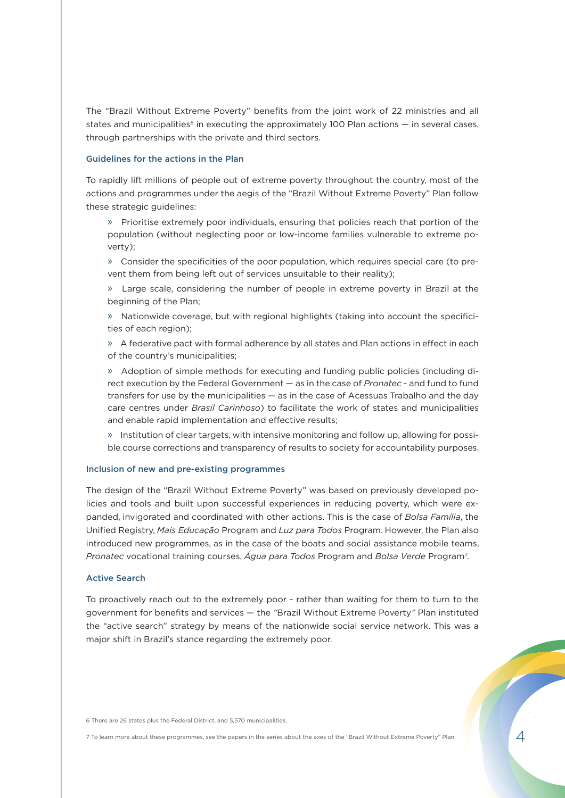The "Brazil Without Extreme Poverty" benefits from the joint work of 22 ministries and all states and municipalities<sup>6</sup> in executing the approximately 100 Plan actions  $-$  in several cases, through partnerships with the private and third sectors.

# Guidelines for the actions in the Plan

To rapidly lift millions of people out of extreme poverty throughout the country, most of the actions and programmes under the aegis of the "Brazil Without Extreme Poverty" Plan follow these strategic guidelines:

» Prioritise extremely poor individuals, ensuring that policies reach that portion of the population (without neglecting poor or low-income families vulnerable to extreme poverty);

» Consider the specificities of the poor population, which requires special care (to prevent them from being left out of services unsuitable to their reality);

» Large scale, considering the number of people in extreme poverty in Brazil at the beginning of the Plan;

» Nationwide coverage, but with regional highlights (taking into account the specificities of each region);

» A federative pact with formal adherence by all states and Plan actions in effect in each of the country's municipalities;

» Adoption of simple methods for executing and funding public policies (including direct execution by the Federal Government — as in the case of *Pronatec* - and fund to fund transfers for use by the municipalities — as in the case of Acessuas Trabalho and the day care centres under *Brasil Carinhoso*) to facilitate the work of states and municipalities and enable rapid implementation and effective results;

» Institution of clear targets, with intensive monitoring and follow up, allowing for possible course corrections and transparency of results to society for accountability purposes.

#### Inclusion of new and pre-existing programmes

The design of the "Brazil Without Extreme Poverty" was based on previously developed policies and tools and built upon successful experiences in reducing poverty, which were expanded, invigorated and coordinated with other actions. This is the case of *Bolsa Família*, the Unified Registry, *Mais Educação* Program and *Luz para Todos* Program. However, the Plan also introduced new programmes, as in the case of the boats and social assistance mobile teams, *Pronatec* vocational training courses, *Água para Todos* Program and *Bolsa Verde* Program7 .

# Active Search

To proactively reach out to the extremely poor - rather than waiting for them to turn to the government for benefits and services — the *"*Brazil Without Extreme Poverty*"* Plan instituted the "active search" strategy by means of the nationwide social service network. This was a major shift in Brazil's stance regarding the extremely poor.

6 There are 26 states plus the Federal District, and 5,570 municipalities.

7 To learn more about these programmes, see the papers in the series about the axes of the "Brazil Without Extreme Poverty" Plan.